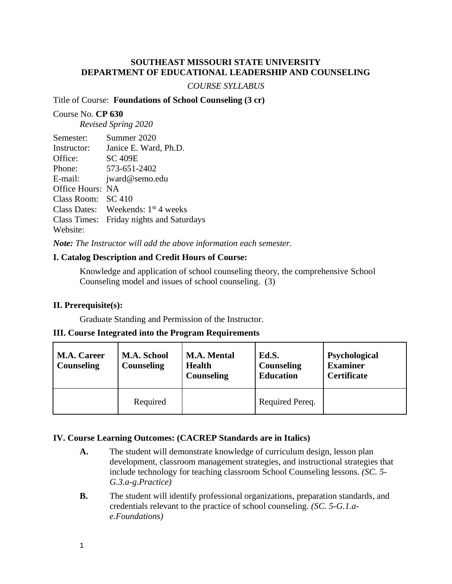# **SOUTHEAST MISSOURI STATE UNIVERSITY DEPARTMENT OF EDUCATIONAL LEADERSHIP AND COUNSELING**

### *COURSE SYLLABUS*

### Title of Course: **Foundations of School Counseling (3 cr)**

### Course No. **CP 630**

*Revised Spring 2020*

| Semester:               | Summer 2020                                    |
|-------------------------|------------------------------------------------|
| Instructor:             | Janice E. Ward, Ph.D.                          |
| Office:                 | <b>SC 409E</b>                                 |
| Phone:                  | 573-651-2402                                   |
| E-mail:                 | jward@semo.edu                                 |
| <b>Office Hours: NA</b> |                                                |
| Class Room: SC 410      |                                                |
|                         | Class Dates: Weekends: 1 <sup>st</sup> 4 weeks |
|                         | Class Times: Friday nights and Saturdays       |
| Website:                |                                                |

*Note: The Instructor will add the above information each semester.*

# **I. Catalog Description and Credit Hours of Course:**

Knowledge and application of school counseling theory, the comprehensive School Counseling model and issues of school counseling. (3)

# **II. Prerequisite(s):**

Graduate Standing and Permission of the Instructor.

# **III. Course Integrated into the Program Requirements**

| <b>M.A. Career</b><br>Counseling | M.A. School<br><b>Counseling</b> | <b>M.A. Mental</b><br><b>Health</b><br>Counseling | Ed.S.<br>Counseling<br><b>Education</b> | Psychological<br><b>Examiner</b><br><b>Certificate</b> |
|----------------------------------|----------------------------------|---------------------------------------------------|-----------------------------------------|--------------------------------------------------------|
|                                  | Required                         |                                                   | Required Pereq.                         |                                                        |

# **IV. Course Learning Outcomes: (CACREP Standards are in Italics)**

- **A.** The student will demonstrate knowledge of curriculum design, lesson plan development, classroom management strategies, and instructional strategies that include technology for teaching classroom School Counseling lessons. *(SC. 5- G.3.a-g.Practice)*
- **B.** The student will identify professional organizations, preparation standards, and credentials relevant to the practice of school counseling. *(SC. 5-G.1.ae.Foundations)*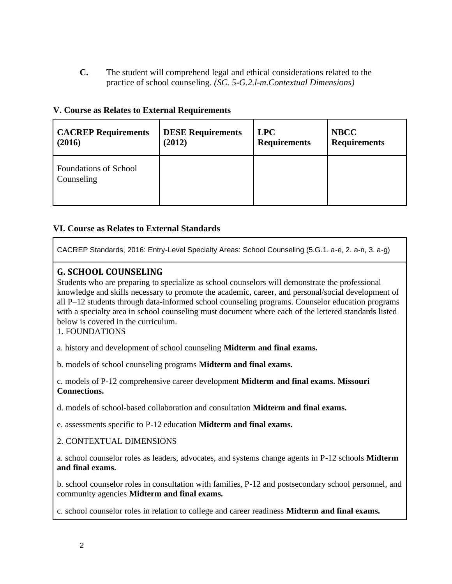**C.** The student will comprehend legal and ethical considerations related to the practice of school counseling. *(SC. 5-G.2.l-m.Contextual Dimensions)*

| <b>CACREP Requirements</b>          | <b>DESE Requirements</b> | <b>LPC</b>          | <b>NBCC</b>         |
|-------------------------------------|--------------------------|---------------------|---------------------|
| (2016)                              | (2012)                   | <b>Requirements</b> | <b>Requirements</b> |
| Foundations of School<br>Counseling |                          |                     |                     |

# **VI. Course as Relates to External Standards**

CACREP Standards, 2016: Entry-Level Specialty Areas: School Counseling (5.G.1. a-e, 2. a-n, 3. a-g)

# **G. SCHOOL COUNSELING**

Students who are preparing to specialize as school counselors will demonstrate the professional knowledge and skills necessary to promote the academic, career, and personal/social development of all P–12 students through data-informed school counseling programs. Counselor education programs with a specialty area in school counseling must document where each of the lettered standards listed below is covered in the curriculum.

1. FOUNDATIONS

a. history and development of school counseling **Midterm and final exams.**

b. models of school counseling programs **Midterm and final exams.**

c. models of P-12 comprehensive career development **Midterm and final exams. Missouri Connections.**

d. models of school-based collaboration and consultation **Midterm and final exams.**

e. assessments specific to P-12 education **Midterm and final exams.**

2. CONTEXTUAL DIMENSIONS

a. school counselor roles as leaders, advocates, and systems change agents in P-12 schools **Midterm and final exams.**

b. school counselor roles in consultation with families, P-12 and postsecondary school personnel, and community agencies **Midterm and final exams.**

c. school counselor roles in relation to college and career readiness **Midterm and final exams.**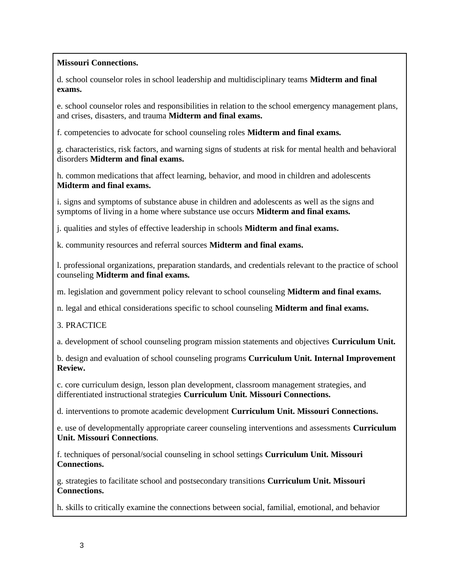# **Missouri Connections.**

d. school counselor roles in school leadership and multidisciplinary teams **Midterm and final exams.**

e. school counselor roles and responsibilities in relation to the school emergency management plans, and crises, disasters, and trauma **Midterm and final exams.**

f. competencies to advocate for school counseling roles **Midterm and final exams.**

g. characteristics, risk factors, and warning signs of students at risk for mental health and behavioral disorders **Midterm and final exams.**

h. common medications that affect learning, behavior, and mood in children and adolescents **Midterm and final exams.**

i. signs and symptoms of substance abuse in children and adolescents as well as the signs and symptoms of living in a home where substance use occurs **Midterm and final exams.**

j. qualities and styles of effective leadership in schools **Midterm and final exams.**

k. community resources and referral sources **Midterm and final exams.**

l. professional organizations, preparation standards, and credentials relevant to the practice of school counseling **Midterm and final exams.**

m. legislation and government policy relevant to school counseling **Midterm and final exams.**

n. legal and ethical considerations specific to school counseling **Midterm and final exams.**

3. PRACTICE

a. development of school counseling program mission statements and objectives **Curriculum Unit.**

b. design and evaluation of school counseling programs **Curriculum Unit. Internal Improvement Review.**

c. core curriculum design, lesson plan development, classroom management strategies, and differentiated instructional strategies **Curriculum Unit. Missouri Connections.**

d. interventions to promote academic development **Curriculum Unit. Missouri Connections.**

e. use of developmentally appropriate career counseling interventions and assessments **Curriculum Unit. Missouri Connections**.

f. techniques of personal/social counseling in school settings **Curriculum Unit. Missouri Connections.**

g. strategies to facilitate school and postsecondary transitions **Curriculum Unit. Missouri Connections.**

h. skills to critically examine the connections between social, familial, emotional, and behavior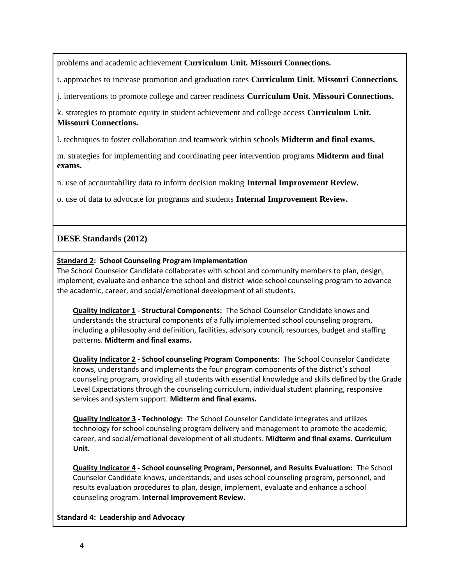problems and academic achievement **Curriculum Unit. Missouri Connections.**

i. approaches to increase promotion and graduation rates **Curriculum Unit. Missouri Connections.**

j. interventions to promote college and career readiness **Curriculum Unit. Missouri Connections.**

k. strategies to promote equity in student achievement and college access **Curriculum Unit. Missouri Connections.**

l. techniques to foster collaboration and teamwork within schools **Midterm and final exams.**

m. strategies for implementing and coordinating peer intervention programs **Midterm and final exams.**

n. use of accountability data to inform decision making **Internal Improvement Review.**

o. use of data to advocate for programs and students **Internal Improvement Review.**

# **DESE Standards (2012)**

# **Standard 2: School Counseling Program Implementation**

The School Counselor Candidate collaborates with school and community members to plan, design, implement, evaluate and enhance the school and district-wide school counseling program to advance the academic, career, and social/emotional development of all students.

**Quality Indicator 1 - Structural Components:** The School Counselor Candidate knows and understands the structural components of a fully implemented school counseling program, including a philosophy and definition, facilities, advisory council, resources, budget and staffing patterns. **Midterm and final exams.**

**Quality Indicator 2 - School counseling Program Components**: The School Counselor Candidate knows, understands and implements the four program components of the district's school counseling program, providing all students with essential knowledge and skills defined by the Grade Level Expectations through the counseling curriculum, individual student planning, responsive services and system support. **Midterm and final exams.**

**Quality Indicator 3 - Technology:** The School Counselor Candidate integrates and utilizes technology for school counseling program delivery and management to promote the academic, career, and social/emotional development of all students. **Midterm and final exams. Curriculum Unit.**

**Quality Indicator 4 - School counseling Program, Personnel, and Results Evaluation:** The School Counselor Candidate knows, understands, and uses school counseling program, personnel, and results evaluation procedures to plan, design, implement, evaluate and enhance a school counseling program. **Internal Improvement Review.**

# **Standard 4: Leadership and Advocacy**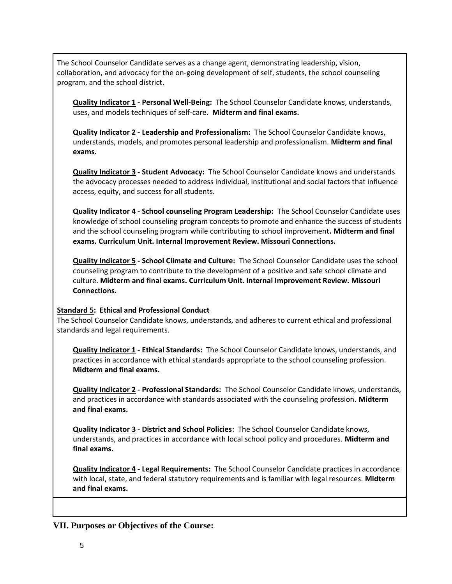The School Counselor Candidate serves as a change agent, demonstrating leadership, vision, collaboration, and advocacy for the on-going development of self, students, the school counseling program, and the school district.

**Quality Indicator 1 - Personal Well-Being:** The School Counselor Candidate knows, understands, uses, and models techniques of self-care. **Midterm and final exams.**

**Quality Indicator 2 - Leadership and Professionalism:** The School Counselor Candidate knows, understands, models, and promotes personal leadership and professionalism. **Midterm and final exams.**

**Quality Indicator 3 - Student Advocacy:** The School Counselor Candidate knows and understands the advocacy processes needed to address individual, institutional and social factors that influence access, equity, and success for all students.

**Quality Indicator 4 - School counseling Program Leadership:** The School Counselor Candidate uses knowledge of school counseling program concepts to promote and enhance the success of students and the school counseling program while contributing to school improvement**. Midterm and final exams. Curriculum Unit. Internal Improvement Review. Missouri Connections.**

**Quality Indicator 5 - School Climate and Culture:** The School Counselor Candidate uses the school counseling program to contribute to the development of a positive and safe school climate and culture. **Midterm and final exams. Curriculum Unit. Internal Improvement Review. Missouri Connections.**

### **Standard 5: Ethical and Professional Conduct**

The School Counselor Candidate knows, understands, and adheres to current ethical and professional standards and legal requirements.

**Quality Indicator 1 - Ethical Standards:** The School Counselor Candidate knows, understands, and practices in accordance with ethical standards appropriate to the school counseling profession. **Midterm and final exams.**

**Quality Indicator 2 - Professional Standards:** The School Counselor Candidate knows, understands, and practices in accordance with standards associated with the counseling profession. **Midterm and final exams.**

**Quality Indicator 3 - District and School Policies**: The School Counselor Candidate knows, understands, and practices in accordance with local school policy and procedures. **Midterm and final exams.**

**Quality Indicator 4 - Legal Requirements:** The School Counselor Candidate practices in accordance with local, state, and federal statutory requirements and is familiar with legal resources. **Midterm and final exams.** 

**VII. Purposes or Objectives of the Course:**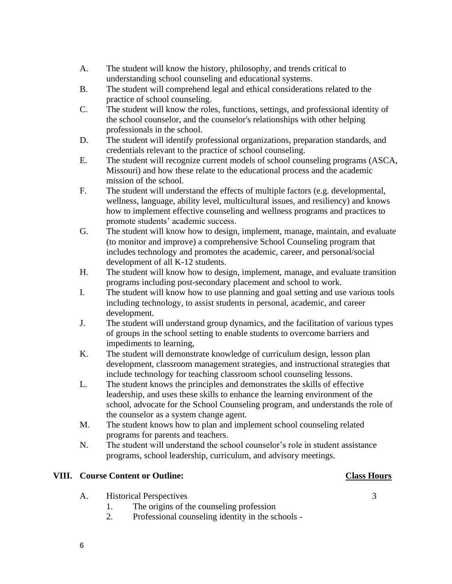- A. The student will know the history, philosophy, and trends critical to understanding school counseling and educational systems.
- B. The student will comprehend legal and ethical considerations related to the practice of school counseling.
- C. The student will know the roles, functions, settings, and professional identity of the school counselor, and the counselor's relationships with other helping professionals in the school.
- D. The student will identify professional organizations, preparation standards, and credentials relevant to the practice of school counseling.
- E. The student will recognize current models of school counseling programs (ASCA, Missouri) and how these relate to the educational process and the academic mission of the school.
- F. The student will understand the effects of multiple factors (e.g. developmental, wellness, language, ability level, multicultural issues, and resiliency) and knows how to implement effective counseling and wellness programs and practices to promote students' academic success.
- G. The student will know how to design, implement, manage, maintain, and evaluate (to monitor and improve) a comprehensive School Counseling program that includes technology and promotes the academic, career, and personal/social development of all K-12 students.
- H. The student will know how to design, implement, manage, and evaluate transition programs including post-secondary placement and school to work.
- I. The student will know how to use planning and goal setting and use various tools including technology, to assist students in personal, academic, and career development.
- J. The student will understand group dynamics, and the facilitation of various types of groups in the school setting to enable students to overcome barriers and impediments to learning,
- K. The student will demonstrate knowledge of curriculum design, lesson plan development, classroom management strategies, and instructional strategies that include technology for teaching classroom school counseling lessons.
- L. The student knows the principles and demonstrates the skills of effective leadership, and uses these skills to enhance the learning environment of the school, advocate for the School Counseling program, and understands the role of the counselor as a system change agent.
- M. The student knows how to plan and implement school counseling related programs for parents and teachers.
- N. The student will understand the school counselor's role in student assistance programs, school leadership, curriculum, and advisory meetings.

# **VIII. Course Content or Outline: Class Hours**

- 
- A. Historical Perspectives 3
	- 1. The origins of the counseling profession
	- 2. Professional counseling identity in the schools -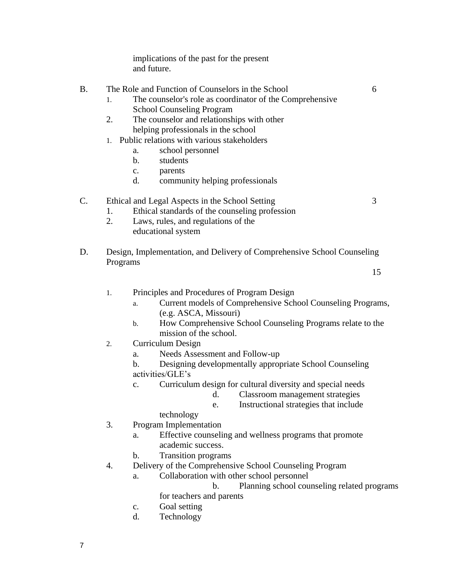implications of the past for the present and future.

# B. The Role and Function of Counselors in the School 6

- 1. The counselor's role as coordinator of the Comprehensive School Counseling Program
- 2. The counselor and relationships with other helping professionals in the school
- 1. Public relations with various stakeholders
	- a. school personnel
	- b. students
	- c. parents
	- d. community helping professionals

# C. Ethical and Legal Aspects in the School Setting 3

- 1. Ethical standards of the counseling profession
- 2. Laws, rules, and regulations of the educational system
- D. Design, Implementation, and Delivery of Comprehensive School Counseling Programs

15

- 1. Principles and Procedures of Program Design
	- a. Current models of Comprehensive School Counseling Programs, (e.g. ASCA, Missouri)
	- b. How Comprehensive School Counseling Programs relate to the mission of the school.
- 2. Curriculum Design
	- a. Needs Assessment and Follow-up
	- b. Designing developmentally appropriate School Counseling activities/GLE's
	- c. Curriculum design for cultural diversity and special needs
		- d. Classroom management strategies
		- e. Instructional strategies that include

# technology

- 3. Program Implementation
	- a. Effective counseling and wellness programs that promote academic success.
		- b. Transition programs
- 4. Delivery of the Comprehensive School Counseling Program
	- a. Collaboration with other school personnel

b. Planning school counseling related programs

- for teachers and parents
- c. Goal setting
- d. Technology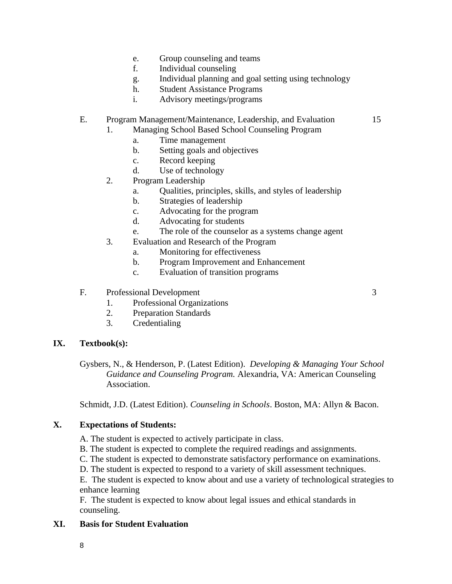- e. Group counseling and teams
- f. Individual counseling
- g. Individual planning and goal setting using technology
- h. Student Assistance Programs
- i. Advisory meetings/programs

### E. Program Management/Maintenance, Leadership, and Evaluation 15

- 1. Managing School Based School Counseling Program
	- a. Time management
	- b. Setting goals and objectives
	- c. Record keeping
	- d. Use of technology
- 2. Program Leadership
	- a. Qualities, principles, skills, and styles of leadership
	- b. Strategies of leadership
	- c. Advocating for the program
	- d. Advocating for students
	- e. The role of the counselor as a systems change agent
- 3. Evaluation and Research of the Program
	- a. Monitoring for effectiveness
	- b. Program Improvement and Enhancement
	- c. Evaluation of transition programs

### F. Professional Development 3

- 1. Professional Organizations
- 2. Preparation Standards
- 3. Credentialing

# **IX. Textbook(s):**

Gysbers, N., & Henderson, P. (Latest Edition). *Developing & Managing Your School Guidance and Counseling Program.* Alexandria, VA: American Counseling Association.

Schmidt, J.D. (Latest Edition). *Counseling in Schools*. Boston, MA: Allyn & Bacon.

### **X. Expectations of Students:**

A. The student is expected to actively participate in class.

- B. The student is expected to complete the required readings and assignments.
- C. The student is expected to demonstrate satisfactory performance on examinations.
- D. The student is expected to respond to a variety of skill assessment techniques.

E. The student is expected to know about and use a variety of technological strategies to enhance learning

F. The student is expected to know about legal issues and ethical standards in counseling.

# **XI. Basis for Student Evaluation**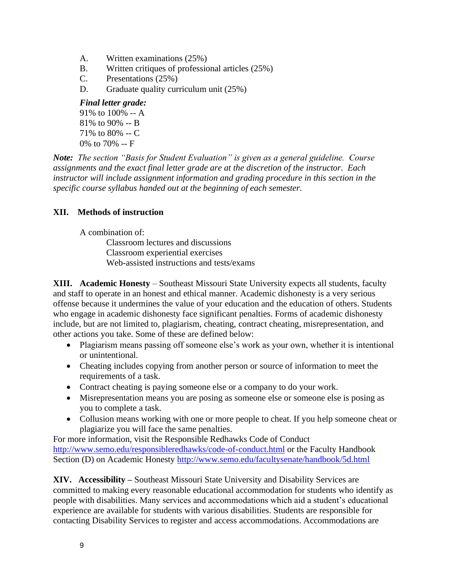- A. Written examinations (25%)
- B. Written critiques of professional articles (25%)
- C. Presentations (25%)
- D. Graduate quality curriculum unit (25%)

### *Final letter grade:*

91% to 100% -- A 81% to 90% -- B 71% to 80% -- C 0% to 70% -- F

*Note: The section "Basis for Student Evaluation" is given as a general guideline. Course assignments and the exact final letter grade are at the discretion of the instructor. Each instructor will include assignment information and grading procedure in this section in the specific course syllabus handed out at the beginning of each semester.*

# **XII. Methods of instruction**

A combination of:

Classroom lectures and discussions Classroom experiential exercises Web-assisted instructions and tests/exams

**XIII. Academic Honesty** – Southeast Missouri State University expects all students, faculty and staff to operate in an honest and ethical manner. Academic dishonesty is a very serious offense because it undermines the value of your education and the education of others. Students who engage in academic dishonesty face significant penalties. Forms of academic dishonesty include, but are not limited to, plagiarism, cheating, contract cheating, misrepresentation, and other actions you take. Some of these are defined below:

- Plagiarism means passing off someone else's work as your own, whether it is intentional or unintentional.
- Cheating includes copying from another person or source of information to meet the requirements of a task.
- Contract cheating is paying someone else or a company to do your work.
- Misrepresentation means you are posing as someone else or someone else is posing as you to complete a task.
- Collusion means working with one or more people to cheat. If you help someone cheat or plagiarize you will face the same penalties.

For more information, visit the Responsible Redhawks Code of Conduct <http://www.semo.edu/responsibleredhawks/code-of-conduct.html> or the Faculty Handbook Section (D) on Academic Honesty<http://www.semo.edu/facultysenate/handbook/5d.html>

**XIV. Accessibility –** Southeast Missouri State University and Disability Services are committed to making every reasonable educational accommodation for students who identify as people with disabilities. Many services and accommodations which aid a student's educational experience are available for students with various disabilities. Students are responsible for contacting Disability Services to register and access accommodations. Accommodations are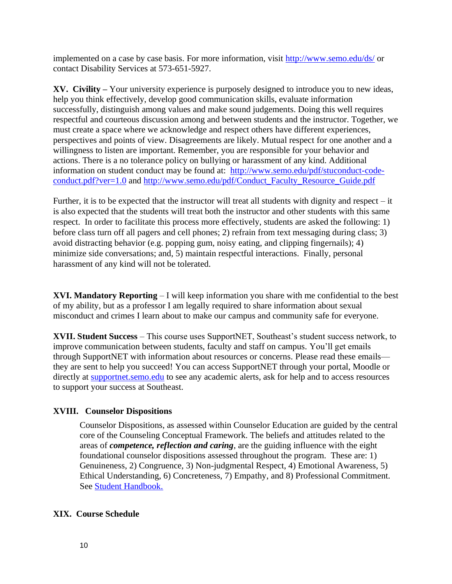implemented on a case by case basis. For more information, visit<http://www.semo.edu/ds/> or contact Disability Services at 573-651-5927.

**XV. Civility –** Your university experience is purposely designed to introduce you to new ideas, help you think effectively, develop good communication skills, evaluate information successfully, distinguish among values and make sound judgements. Doing this well requires respectful and courteous discussion among and between students and the instructor. Together, we must create a space where we acknowledge and respect others have different experiences, perspectives and points of view. Disagreements are likely. Mutual respect for one another and a willingness to listen are important. Remember, you are responsible for your behavior and actions. There is a no tolerance policy on bullying or harassment of any kind. Additional information on student conduct may be found at: [http://www.semo.edu/pdf/stuconduct-code](http://www.semo.edu/pdf/stuconduct-code-conduct.pdf?ver=1.0)[conduct.pdf?ver=1.0](http://www.semo.edu/pdf/stuconduct-code-conduct.pdf?ver=1.0) and [http://www.semo.edu/pdf/Conduct\\_Faculty\\_Resource\\_Guide.pdf](http://www.semo.edu/pdf/Conduct_Faculty_Resource_Guide.pdf)

Further, it is to be expected that the instructor will treat all students with dignity and respect – it is also expected that the students will treat both the instructor and other students with this same respect. In order to facilitate this process more effectively, students are asked the following: 1) before class turn off all pagers and cell phones; 2) refrain from text messaging during class; 3) avoid distracting behavior (e.g. popping gum, noisy eating, and clipping fingernails); 4) minimize side conversations; and, 5) maintain respectful interactions. Finally, personal harassment of any kind will not be tolerated.

**XVI. Mandatory Reporting** – I will keep information you share with me confidential to the best of my ability, but as a professor I am legally required to share information about sexual misconduct and crimes I learn about to make our campus and community safe for everyone.

**XVII. Student Success** – This course uses SupportNET, Southeast's student success network, to improve communication between students, faculty and staff on campus. You'll get emails through SupportNET with information about resources or concerns. Please read these emails they are sent to help you succeed! You can access SupportNET through your portal, Moodle or directly at [supportnet.semo.edu](http://supportnet.semo.edu/) to see any academic alerts, ask for help and to access resources to support your success at Southeast.

# **XVIII. Counselor Dispositions**

Counselor Dispositions, as assessed within Counselor Education are guided by the central core of the Counseling Conceptual Framework. The beliefs and attitudes related to the areas of *competence, reflection and caring*, are the guiding influence with the eight foundational counselor dispositions assessed throughout the program. These are: 1) Genuineness, 2) Congruence, 3) Non-judgmental Respect, 4) Emotional Awareness, 5) Ethical Understanding, 6) Concreteness, 7) Empathy, and 8) Professional Commitment. See [Student](http://www4.semo.edu/counsel/Forms/StudentHandbook.htm) [Handbook.](http://www4.semo.edu/counsel/Forms/StudentHandbook.htm)

# **XIX. Course Schedule**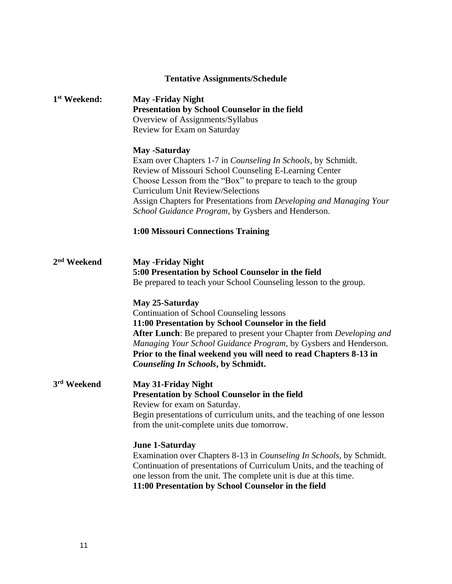# **Tentative Assignments/Schedule**

| 1 <sup>st</sup> Weekend: | <b>May -Friday Night</b><br>Presentation by School Counselor in the field<br>Overview of Assignments/Syllabus<br>Review for Exam on Saturday                                                                                                                                                                                                                                                     |  |  |  |
|--------------------------|--------------------------------------------------------------------------------------------------------------------------------------------------------------------------------------------------------------------------------------------------------------------------------------------------------------------------------------------------------------------------------------------------|--|--|--|
|                          | <b>May -Saturday</b><br>Exam over Chapters 1-7 in <i>Counseling In Schools</i> , by Schmidt.<br>Review of Missouri School Counseling E-Learning Center<br>Choose Lesson from the "Box" to prepare to teach to the group<br><b>Curriculum Unit Review/Selections</b><br>Assign Chapters for Presentations from Developing and Managing Your<br>School Guidance Program, by Gysbers and Henderson. |  |  |  |
|                          | 1:00 Missouri Connections Training                                                                                                                                                                                                                                                                                                                                                               |  |  |  |
| 2 <sup>nd</sup> Weekend  | <b>May -Friday Night</b><br>5:00 Presentation by School Counselor in the field<br>Be prepared to teach your School Counseling lesson to the group.                                                                                                                                                                                                                                               |  |  |  |
|                          | May 25-Saturday<br><b>Continuation of School Counseling lessons</b><br>11:00 Presentation by School Counselor in the field<br>After Lunch: Be prepared to present your Chapter from Developing and<br>Managing Your School Guidance Program, by Gysbers and Henderson.<br>Prior to the final weekend you will need to read Chapters 8-13 in<br><b>Counseling In Schools, by Schmidt.</b>         |  |  |  |
| 3rd Weekend              | <b>May 31-Friday Night</b><br>Presentation by School Counselor in the field<br>Review for exam on Saturday.<br>Begin presentations of curriculum units, and the teaching of one lesson<br>from the unit-complete units due tomorrow.                                                                                                                                                             |  |  |  |
|                          | <b>June 1-Saturday</b><br>Examination over Chapters 8-13 in Counseling In Schools, by Schmidt.<br>Continuation of presentations of Curriculum Units, and the teaching of<br>one lesson from the unit. The complete unit is due at this time.<br>11:00 Presentation by School Counselor in the field                                                                                              |  |  |  |